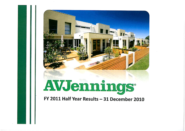

FY 2011 Half Year Results - 31 December 2010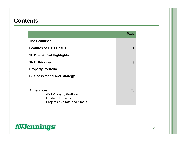#### **Contents**

|                                                                                                  | Page           |
|--------------------------------------------------------------------------------------------------|----------------|
| <b>The Headlines</b>                                                                             | 3              |
| <b>Features of 1H11 Result</b>                                                                   | $\overline{4}$ |
| <b>1H11 Financial Highlights</b>                                                                 |                |
| <b>2H11 Priorities</b>                                                                           |                |
| <b>Property Portfolio</b>                                                                        |                |
| <b>Business Model and Strategy</b>                                                               | 13             |
|                                                                                                  |                |
| <b>Appendices</b>                                                                                | 20             |
| <b>AVJ Property Portfolio</b><br><b>Guide to Projects</b><br><b>Projects by State and Status</b> |                |

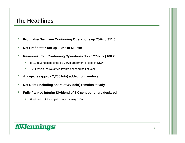#### **The Headlines**

- **Profit after Tax from Continuing Operations up 75% to \$11.6m**
- **Net Profit after Tax up 228% to \$10.6m**
- **Revenues from Continuing Operations down 27% to \$100.2m**
	- 1H10 revenues boosted by Verve apartment project in NSW
	- FY11 revenues weighted towards second half of year
- **<sup>4</sup> projects (approx 2,700 lots) added to inventory**
- **Net Debt (including share of JV debt) remains steady**
- **Fully franked Interim Dividend of 1.0 cent per share declared**
	- First interim dividend paid since January 2006

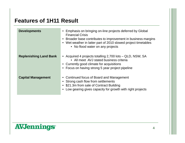#### **Features of 1H11 Result**

| <b>Developments</b>           | Emphasis on bringing on-line projects deferred by Global<br><b>Financial Crisis</b><br>• Broader base contributes to improvement in business margins<br>• Wet weather in latter part of 2010 slowed project timetables<br>• No flood water on any projects |
|-------------------------------|------------------------------------------------------------------------------------------------------------------------------------------------------------------------------------------------------------------------------------------------------------|
| <b>Replenishing Land Bank</b> | • Acquired 4 projects totalling 2,700 lots – QLD, NSW, SA<br>• All meet AVJ stated business criteria<br>• Currently good climate for acquisitions<br>• Focus on having strong 5 year project pipeline                                                      |
| <b>Capital Management</b>     | • Continued focus of Board and Management<br>• Strong cash flow from settlements<br>• \$21.3m from sale of Contract Building<br>Low gearing gives capacity for growth with right projects                                                                  |

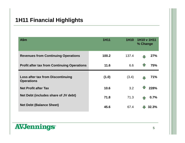#### **1H11 Financial Highlights**

| A\$m                                                          | <b>1H11</b> | 1H <sub>10</sub> | 1H10 v 1H11<br>% Change |  |
|---------------------------------------------------------------|-------------|------------------|-------------------------|--|
| <b>Revenues from Continuing Operations</b>                    | 100.2       | 137.4            | 27%                     |  |
| <b>Profit after tax from Continuing Operations</b>            | 11.6        | 6.6              | 75%                     |  |
| <b>Loss after tax from Discontinuing</b><br><b>Operations</b> | (1.0)       | (3.4)            | 71%                     |  |
| <b>Net Profit after Tax</b>                                   | 10.6        | 3.2              | 228%                    |  |
| Net Debt (includes share of JV debt)                          | 71.8        | 71.3             | 0.7%                    |  |
| <b>Net Debt (Balance Sheet)</b>                               | 45.6        | 67.4             | 32.3%                   |  |

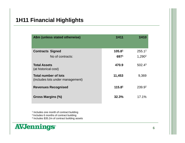#### **1H11 Financial Highlights**

| A\$m (unless stated otherwise)                                  | <b>1H11</b>        | <b>1H10</b>        |
|-----------------------------------------------------------------|--------------------|--------------------|
| <b>Contracts Signed</b>                                         | 105.81             | 255.1 <sup>2</sup> |
| No of contracts:                                                | 6971               | 1,290 <sup>2</sup> |
| <b>Total Assets</b><br>(at historical cost)                     | 470.9              | 502.4 <sup>3</sup> |
| <b>Total number of lots</b><br>(includes lots under management) | 11,453             | 9,369              |
| <b>Revenues Recognised</b>                                      | 115.8 <sup>1</sup> | 239.92             |
| Gross Margins (%)                                               | 32.3%              | 17.1%              |

1 Includes one month of contract building

<sup>2</sup>Includes 6 months of contract building

3 Includes \$35.2m of contract building assets

## **AVJennings**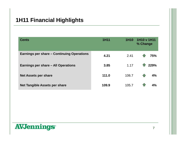#### **1H11 Financial Highlights**

| <b>Cents</b>                               | <b>1H11</b> | 1H10  | 1H10 v 1H11<br>% Change |
|--------------------------------------------|-------------|-------|-------------------------|
| Earnings per share – Continuing Operations | 4.21        | 2.41  | 75%                     |
| Earnings per share - All Operations        | 3.85        | 1.17  | 1229%                   |
| <b>Net Assets per share</b>                | 111.0       | 106.7 | 4%                      |
| <b>Net Tangible Assets per share</b>       | 109.9       | 105.7 | 4%                      |

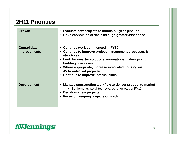#### **2H11 Priorities**

| <b>Growth</b>                             | • Evaluate new projects to maintain 5 year pipeline<br>Drive economies of scale through greater asset base<br>$\bullet$                                                                                                                                                                                                                                      |
|-------------------------------------------|--------------------------------------------------------------------------------------------------------------------------------------------------------------------------------------------------------------------------------------------------------------------------------------------------------------------------------------------------------------|
| <b>Consolidate</b><br><b>Improvements</b> | • Continue work commenced in FY10<br>• Continue to improve project management processes &<br><b>structures</b><br>Look for smarter solutions, innovations in design and<br>$\bullet$<br>building processes<br>Where appropriate, increase integrated housing on<br>$\bullet$<br><b>AVJ-controlled projects</b><br><b>Continue to improve internal skills</b> |
| <b>Development</b>                        | Manage construction workflow to deliver product to market<br>• Settlements weighted towards latter part of FY11<br>Bed down new projects<br>$\bullet$<br>• Focus on keeping projects on track                                                                                                                                                                |

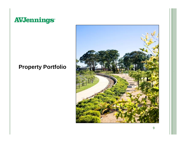## **AVJennings\***

### **Property Portfolio**

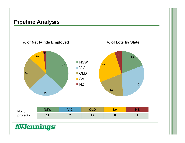#### **Pipeline Analysis**



**10**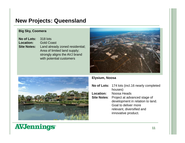#### **New Projects: Queensland**

#### **Big Sky, Coomera**

| No of Lots: 318 lots |                                                    |
|----------------------|----------------------------------------------------|
| <b>Location:</b>     | <b>Gold Coast</b>                                  |
|                      | <b>Site Notes:</b> Land already zoned residential; |
|                      | Area of limited land supply;                       |
|                      | strongly aligns the AVJ brand                      |
|                      | with potential customers                           |





#### **Elysium, Noosa**

|                  | No of Lots: 174 lots (incl.16 nearly completed                                                                                                                                            |
|------------------|-------------------------------------------------------------------------------------------------------------------------------------------------------------------------------------------|
| <b>Location:</b> | houses)<br>Noosa Heads<br><b>Site Notes:</b> Project at advanced stage of<br>development in relation to land.<br>Goal to deliver more<br>relevant, diversified and<br>innovative product. |

## **AVJennings<sup>®</sup>**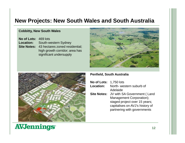#### **New Projects: New South Wales and South Australia**

#### **Cobbitty, New South Wales**

**No of Lots:** 469 lots **Location:** South-western Sydney **Site Notes:** 43 hectares zoned residential; high growth corridor; area has significant undersupply





#### **Penfield, South Australia**

| No of Lots: 1,750 lots |                                 |
|------------------------|---------------------------------|
| Location:              | North-western suburb of         |
|                        | Adelaide                        |
| <b>Site Notes:</b>     | JV with SA Government (Land     |
|                        | Management Corporation);        |
|                        | staged project over 15 years;   |
|                        | capitalises on AVJ's history of |
|                        | partnering with governments     |
|                        |                                 |

# **AVJennings**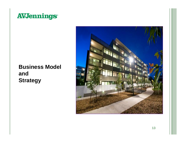

### **Business Model and Strategy**

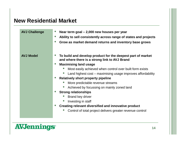#### **New Residential Market**

| <b>AVJ Challenge</b> | Near term goal $-2,000$ new houses per year<br>Ability to sell consistently across range of states and projects<br>Grow as market demand returns and inventory base grows |
|----------------------|---------------------------------------------------------------------------------------------------------------------------------------------------------------------------|
| <b>AVJ Model</b>     | To build and develop product for the deepest part of market<br>and where there is a strong link to AVJ Brand<br><b>Maximising land usage</b>                              |
|                      | Most easily achieved when control over built form exists                                                                                                                  |
|                      | Land highest cost – maximising usage improves affordability                                                                                                               |
|                      | <b>Relatively short property pipeline</b>                                                                                                                                 |
|                      | More predictable revenue streams                                                                                                                                          |
|                      | Achieved by focussing on mainly zoned land                                                                                                                                |
|                      | <b>Strong relationships</b>                                                                                                                                               |
|                      | <b>Brand key driver</b>                                                                                                                                                   |
|                      | Investing in staff                                                                                                                                                        |
|                      | Creating relevant diversified and innovative product                                                                                                                      |
|                      | Control of total project delivers greater revenue control                                                                                                                 |
|                      |                                                                                                                                                                           |

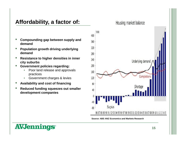#### **Affordability, a factor of:**

- **Compounding gap between supply and demand**
- **Population growth driving underlying demand**
- **Resistance to higher densities in inner city suburbs**
- **Government policies regarding:**
	- Poor land release and approvals practices
	- Government charges & levies
- **Availability and cost of financing**
- **Reduced funding squeezes out smaller development companies**



**Source: ABS ANZ Economics and Markets Research**

## **AVJennings**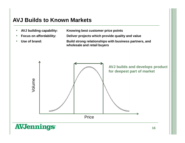#### **AVJ Builds to Known Markets**

- 
- 
- 

• **AVJ building capability: Knowing best customer price points**

• **Focus on affordability: Deliver projects which provide quality and value**

• **Use of brand: Build strong relationships with business partners, and wholesale and retail buyers**

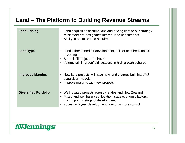#### **Land – The Platform to Building Revenue Streams**

| <b>Land Pricing</b>          | • Land acquisition assumptions and pricing core to our strategy<br>• Must meet pre-designated internal land benchmarks<br>• Ability to optimise land acquired                                                       |
|------------------------------|---------------------------------------------------------------------------------------------------------------------------------------------------------------------------------------------------------------------|
| <b>Land Type</b>             | Land either zoned for development, infill or acquired subject<br>to zoning<br>• Some infill projects desirable<br>• Volume still in greenfield locations in high growth suburbs                                     |
| <b>Improved Margins</b>      | New land projects will have new land charges built into AVJ<br>acquisition models<br>Improve margins with new projects                                                                                              |
| <b>Diversified Portfolio</b> | • Well located projects across 4 states and New Zealand<br>Mixed and well balanced: location, state economic factors,<br>pricing points, stage of development<br>Focus on 5 year development horizon – more control |

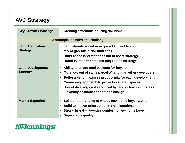#### **AVJ Strategy**

| <b>Key Growth Challenge</b>                | <b>Creating affordable housing solutions</b><br>$\bullet$                                                                                                                                                                                                                                                                                                                                                              |
|--------------------------------------------|------------------------------------------------------------------------------------------------------------------------------------------------------------------------------------------------------------------------------------------------------------------------------------------------------------------------------------------------------------------------------------------------------------------------|
|                                            | 3 strategies to solve the challenge:                                                                                                                                                                                                                                                                                                                                                                                   |
| <b>Land Acquisition</b><br><b>Strategy</b> | Land already zoned or acquired subject to zoning<br>$\bullet$<br>Mix of greenfield and infill sites<br>$\bullet$<br>Don't chase land that does not fit asset strategy<br>$\bullet$<br>Brand is important to land acquisition strategy<br>$\bullet$                                                                                                                                                                     |
| <b>Land Development</b><br><b>Strategy</b> | Ability to create total package for buyers<br>$\bullet$<br>More lots out of same parcel of land than other developers<br>$\bullet$<br>Better able to maximise product mix for each development<br>$\bullet$<br>Community approach to projects - shared spaces<br>$\bullet$<br>Size of dwellings not sacrificed by land utilisation process<br>$\bullet$<br><b>Flexibility as market conditions change</b><br>$\bullet$ |
| <b>Market Expertise</b>                    | Solid understanding of what a new home buyer wants<br>$\bullet$<br>Build to known price points in right locations<br>Strong brand – provides comfort to new home buyer<br>$\bullet$<br><b>Dependable quality</b>                                                                                                                                                                                                       |

## **AVJennings\***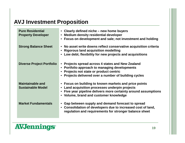### **AVJ Investment Proposition**

| <b>Pure Residential</b><br><b>Property Developer</b> | • Clearly defined niche – new home buyers<br><b>Medium density residential developer</b><br>$\bullet$<br>Focus on development and sale; not investment and holding                                               |
|------------------------------------------------------|------------------------------------------------------------------------------------------------------------------------------------------------------------------------------------------------------------------|
| <b>Strong Balance Sheet</b>                          | • No asset write downs reflect conservative acquisition criteria<br>• Rigorous land acquisition modelling<br>Low debt; flexibility for new projects and acquisitions                                             |
| <b>Diverse Project Portfolio</b>                     | Projects spread across 4 states and New Zealand<br>$\bullet$<br>Portfolio approach to managing developments<br>Projects not state or product centric<br>Projects delivered over a number of building cycles      |
| <b>Maintainable and</b><br><b>Sustainable Model</b>  | • Focus on building to known markets and price points<br>Land acquisition processes underpin projects<br>Five year pipeline delivers more certainty around assumptions<br>• Volume, brand and customer knowledge |
| <b>Market Fundamentals</b>                           | Gap between supply and demand forecast to spread<br>$\bullet$<br>• Consolidation of developers due to increased cost of land,<br>regulation and requirements for stronger balance sheet                          |

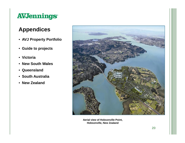# **AVJennings**

### **Appendices**

- **AVJ Property Portfolio**
- **Guide to projects**
- **Victoria**
- **New South Wales**
- **Queensland**
- **South Australia**
- **New Zealand**



**Aerial view of Hobsonville Point, Hobsonville, New Zealand**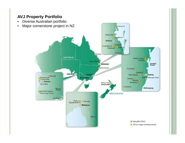#### **AVJ Property Portfolio**

- Diverse Australian portfolio
- Major cornerstone project in NZ



Calcundra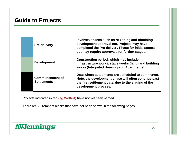#### **Guide to Projects**

| <b>Pre-delivery</b>                          | Involves phases such as re-zoning and obtaining<br>development approval etc. Projects may have<br>completed the Pre-delivery Phase for initial stages,<br>but may require approvals for further stages. |
|----------------------------------------------|---------------------------------------------------------------------------------------------------------------------------------------------------------------------------------------------------------|
| <b>Development</b>                           | Construction period, which may include<br>infrastructure works, stage works (land) and building<br>works (Integrated Housing and Apartments).                                                           |
| <b>Commencement of</b><br><b>Settlements</b> | Date where settlements are scheduled to commence.<br>Note, the development phase will often continue past<br>the first settlement date, due to the staging of the<br>development process.               |

Projects indicated in red **(eg Wollert)** have not yet been named

There are 20 remnant blocks that have not been shown in the following pages

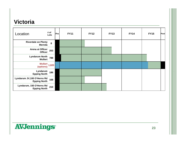### **Victoria**

| Location                                          | # of<br>Lots | Pre | <b>FY11</b> | <b>FY12</b> | <b>FY13</b> | <b>FY14</b> | <b>FY15</b> | <b>Post</b> |
|---------------------------------------------------|--------------|-----|-------------|-------------|-------------|-------------|-------------|-------------|
| <b>Riverdale on Plenty</b><br><b>Mernda</b>       | 8            |     |             |             |             |             |             |             |
| Arena at Officer<br><b>Officer</b>                | 253          |     |             |             |             |             |             |             |
| <b>Lyndarum North</b><br>Wollert                  | 788          |     |             |             |             |             |             |             |
| Wollert $\frac{1}{2}$ 1,820<br>(options)          |              |     |             |             |             |             |             |             |
| Lyndarum<br><b>Epping North</b>                   | 186          |     |             |             |             |             |             |             |
| Lyndarum JV,100 O'Herns Rd<br><b>Epping North</b> | 168          |     |             |             |             |             |             |             |
| Lyndarum, 150 O'Herns Rd<br><b>Epping North</b>   | 210          |     |             |             |             |             |             |             |

# **AVJennings\***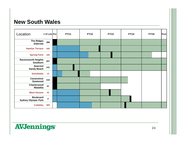#### **New South Wales**

| Location                                       | # of Lots Pre           | <b>FY11</b> | <b>FY12</b> | <b>FY13</b> | <b>FY14</b> | <b>FY15</b> | Post |
|------------------------------------------------|-------------------------|-------------|-------------|-------------|-------------|-------------|------|
| <b>The Ridges</b><br><b>Elderslie</b>          | 399                     |             |             |             |             |             |      |
| <b>Hamlyn Terrace</b>                          | 440                     |             |             |             |             |             |      |
| <b>Spring Farm</b>                             | 185                     |             |             |             |             |             |      |
| <b>Ravensworth Heights</b><br>Goulburn         | 207                     |             |             |             |             |             |      |
| <b>Seacrest</b><br><b>Sandy Beach</b>          | 141                     |             |             |             |             |             |      |
| <b>Schofields</b>                              | 13                      |             |             |             |             |             |      |
| <b>Cavanstone</b><br>Eastwood                  | 219                     |             |             |             |             |             |      |
| Charterwood<br>Wadalba                         | 57                      |             |             |             |             |             |      |
| <b>West Hoxton</b>                             | 42                      |             |             |             |             |             |      |
| <b>Boulevard</b><br><b>Sydney Olympic Park</b> | $\overline{\mathbf{2}}$ |             |             |             |             |             |      |
| <b>Cobbitty</b>                                | 469                     |             |             |             |             |             |      |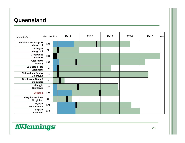#### **Queensland**

| Location                                          | # of Lots Pre | <b>FY11</b> | <b>FY12</b> | <b>FY13</b> | <b>FY14</b> | <b>FY15</b> | Post |
|---------------------------------------------------|---------------|-------------|-------------|-------------|-------------|-------------|------|
| <b>Halpine Lake Stage 10</b><br><b>Mango Hill</b> | 183           |             |             |             |             |             |      |
| Northgate<br><b>Mango Hill</b>                    | 46            |             |             |             |             |             |      |
| Creekwood<br>Caloundra                            | 666           |             |             |             |             |             |      |
| Glenrowan<br><b>Mackay</b>                        | 268           |             |             |             |             |             |      |
| <b>Essington Rise</b><br>Leichhardt               | 137           |             |             |             |             |             |      |
| <b>Nottingham Square</b><br>Calamvale             | 227           |             |             |             |             |             |      |
| <b>Creekwood Stage 7</b><br>Caloundra             | 8             |             |             |             |             |             |      |
| Villaggio<br><b>Richlands</b>                     | 131           |             |             |             |             |             |      |
| <b>Bethania</b>                                   | 102           |             |             |             |             |             |      |
| <b>Fitzgibbon Chase</b><br>Fitzgibbon             | 10            |             |             |             |             |             |      |
| <b>Elysium</b><br><b>Noosa Heads</b>              | 174           |             |             |             |             |             |      |
| <b>Big Sky</b><br>Coomera                         | 318           |             |             |             |             |             |      |